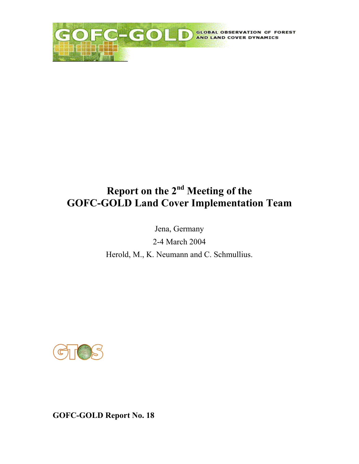

# **Report on the 2nd Meeting of the GOFC-GOLD Land Cover Implementation Team**

Jena, Germany 2-4 March 2004 Herold, M., K. Neumann and C. Schmullius.



**GOFC-GOLD Report No. 18**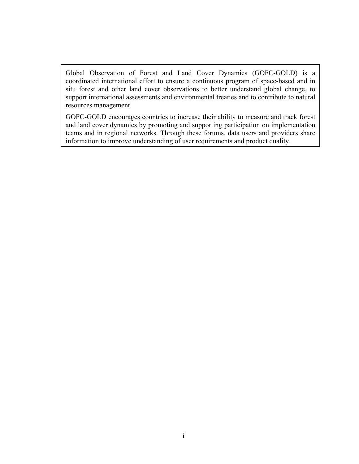Global Observation of Forest and Land Cover Dynamics (GOFC-GOLD) is a coordinated international effort to ensure a continuous program of space-based and in situ forest and other land cover observations to better understand global change, to support international assessments and environmental treaties and to contribute to natural resources management.

GOFC-GOLD encourages countries to increase their ability to measure and track forest and land cover dynamics by promoting and supporting participation on implementation teams and in regional networks. Through these forums, data users and providers share information to improve understanding of user requirements and product quality.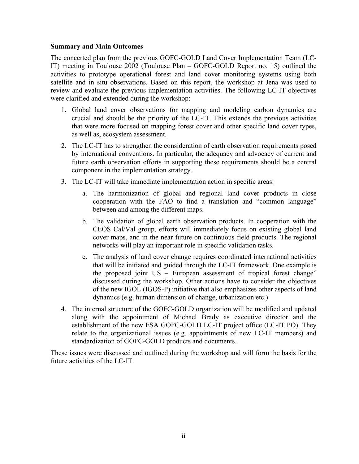#### <span id="page-2-0"></span>**Summary and Main Outcomes**

The concerted plan from the previous GOFC-GOLD Land Cover Implementation Team (LC-IT) meeting in Toulouse 2002 (Toulouse Plan – GOFC-GOLD Report no. 15) outlined the activities to prototype operational forest and land cover monitoring systems using both satellite and in situ observations. Based on this report, the workshop at Jena was used to review and evaluate the previous implementation activities. The following LC-IT objectives were clarified and extended during the workshop:

- 1. Global land cover observations for mapping and modeling carbon dynamics are crucial and should be the priority of the LC-IT. This extends the previous activities that were more focused on mapping forest cover and other specific land cover types, as well as, ecosystem assessment.
- 2. The LC-IT has to strengthen the consideration of earth observation requirements posed by international conventions. In particular, the adequacy and advocacy of current and future earth observation efforts in supporting these requirements should be a central component in the implementation strategy.
- 3. The LC-IT will take immediate implementation action in specific areas:
	- a. The harmonization of global and regional land cover products in close cooperation with the FAO to find a translation and "common language" between and among the different maps.
	- b. The validation of global earth observation products. In cooperation with the CEOS Cal/Val group, efforts will immediately focus on existing global land cover maps, and in the near future on continuous field products. The regional networks will play an important role in specific validation tasks.
	- c. The analysis of land cover change requires coordinated international activities that will be initiated and guided through the LC-IT framework. One example is the proposed joint US – European assessment of tropical forest change" discussed during the workshop. Other actions have to consider the objectives of the new IGOL (IGOS-P) initiative that also emphasizes other aspects of land dynamics (e.g. human dimension of change, urbanization etc.)
- 4. The internal structure of the GOFC-GOLD organization will be modified and updated along with the appointment of Michael Brady as executive director and the establishment of the new ESA GOFC-GOLD LC-IT project office (LC-IT PO). They relate to the organizational issues (e.g. appointments of new LC-IT members) and standardization of GOFC-GOLD products and documents.

These issues were discussed and outlined during the workshop and will form the basis for the future activities of the LC-IT.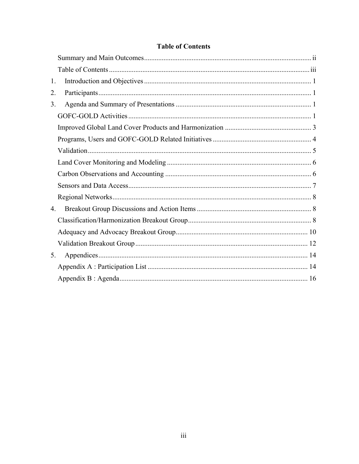<span id="page-3-0"></span>

| 1. |  |
|----|--|
| 2. |  |
| 3. |  |
|    |  |
|    |  |
|    |  |
|    |  |
|    |  |
|    |  |
|    |  |
|    |  |
| 4. |  |
|    |  |
|    |  |
|    |  |
| 5. |  |
|    |  |
|    |  |

# **Table of Contents**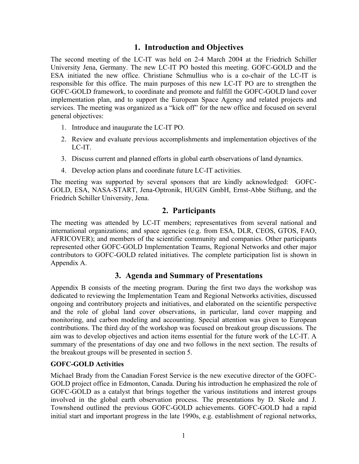### **1. Introduction and Objectives**

<span id="page-4-0"></span>The second meeting of the LC-IT was held on 2-4 March 2004 at the Friedrich Schiller University Jena, Germany. The new LC-IT PO hosted this meeting. GOFC-GOLD and the ESA initiated the new office. Christiane Schmullius who is a co-chair of the LC-IT is responsible for this office. The main purposes of this new LC-IT PO are to strengthen the GOFC-GOLD framework, to coordinate and promote and fulfill the GOFC-GOLD land cover implementation plan, and to support the European Space Agency and related projects and services. The meeting was organized as a "kick off" for the new office and focused on several general objectives:

- 1. Introduce and inaugurate the LC-IT PO.
- 2. Review and evaluate previous accomplishments and implementation objectives of the LC-IT.
- 3. Discuss current and planned efforts in global earth observations of land dynamics.
- 4. Develop action plans and coordinate future LC-IT activities.

The meeting was supported by several sponsors that are kindly acknowledged: GOFC-GOLD, ESA, NASA-START, Jena-Optronik, HUGIN GmbH, Ernst-Abbe Stiftung, and the Friedrich Schiller University, Jena.

### **2. Participants**

The meeting was attended by LC-IT members; representatives from several national and international organizations; and space agencies (e.g. from ESA, DLR, CEOS, GTOS, FAO, AFRICOVER); and members of the scientific community and companies. Other participants represented other GOFC-GOLD Implementation Teams, Regional Networks and other major contributors to GOFC-GOLD related initiatives. The complete participation list is shown in Appendix A.

# **3. Agenda and Summary of Presentations**

Appendix B consists of the meeting program. During the first two days the workshop was dedicated to reviewing the Implementation Team and Regional Networks activities, discussed ongoing and contributory projects and initiatives, and elaborated on the scientific perspective and the role of global land cover observations, in particular, land cover mapping and monitoring, and carbon modeling and accounting. Special attention was given to European contributions. The third day of the workshop was focused on breakout group discussions. The aim was to develop objectives and action items essential for the future work of the LC-IT. A summary of the presentations of day one and two follows in the next section. The results of the breakout groups will be presented in section 5.

#### **GOFC-GOLD Activities**

Michael Brady from the Canadian Forest Service is the new executive director of the GOFC-GOLD project office in Edmonton, Canada. During his introduction he emphasized the role of GOFC-GOLD as a catalyst that brings together the various institutions and interest groups involved in the global earth observation process. The presentations by D. Skole and J. Townshend outlined the previous GOFC-GOLD achievements. GOFC-GOLD had a rapid initial start and important progress in the late 1990s, e.g. establishment of regional networks,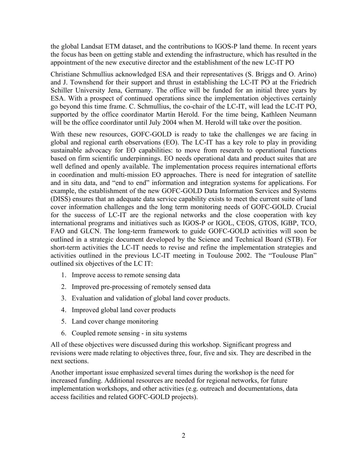the global Landsat ETM dataset, and the contributions to IGOS-P land theme. In recent years the focus has been on getting stable and extending the infrastructure, which has resulted in the appointment of the new executive director and the establishment of the new LC-IT PO

Christiane Schmullius acknowledged ESA and their representatives (S. Briggs and O. Arino) and J. Townshend for their support and thrust in establishing the LC-IT PO at the Friedrich Schiller University Jena, Germany. The office will be funded for an initial three years by ESA. With a prospect of continued operations since the implementation objectives certainly go beyond this time frame. C. Schmullius, the co-chair of the LC-IT, will lead the LC-IT PO, supported by the office coordinator Martin Herold. For the time being, Kathleen Neumann will be the office coordinator until July 2004 when M. Herold will take over the position.

With these new resources, GOFC-GOLD is ready to take the challenges we are facing in global and regional earth observations (EO). The LC-IT has a key role to play in providing sustainable advocacy for EO capabilities: to move from research to operational functions based on firm scientific underpinnings. EO needs operational data and product suites that are well defined and openly available. The implementation process requires international efforts in coordination and multi-mission EO approaches. There is need for integration of satellite and in situ data, and "end to end" information and integration systems for applications. For example, the establishment of the new GOFC-GOLD Data Information Services and Systems (DISS) ensures that an adequate data service capability exists to meet the current suite of land cover information challenges and the long term monitoring needs of GOFC-GOLD. Crucial for the success of LC-IT are the regional networks and the close cooperation with key international programs and initiatives such as IGOS-P or IGOL, CEOS, GTOS, IGBP, TCO, FAO and GLCN. The long-term framework to guide GOFC-GOLD activities will soon be outlined in a strategic document developed by the Science and Technical Board (STB). For short-term activities the LC-IT needs to revise and refine the implementation strategies and activities outlined in the previous LC-IT meeting in Toulouse 2002. The "Toulouse Plan" outlined six objectives of the LC IT:

- 1. Improve access to remote sensing data
- 2. Improved pre-processing of remotely sensed data
- 3. Evaluation and validation of global land cover products.
- 4. Improved global land cover products
- 5. Land cover change monitoring
- 6. Coupled remote sensing in situ systems

All of these objectives were discussed during this workshop. Significant progress and revisions were made relating to objectives three, four, five and six. They are described in the next sections.

Another important issue emphasized several times during the workshop is the need for increased funding. Additional resources are needed for regional networks, for future implementation workshops, and other activities (e.g. outreach and documentations, data access facilities and related GOFC-GOLD projects).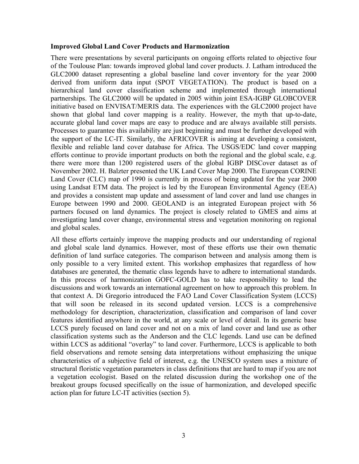#### <span id="page-6-0"></span>**Improved Global Land Cover Products and Harmonization**

There were presentations by several participants on ongoing efforts related to objective four of the Toulouse Plan: towards improved global land cover products. J. Latham introduced the GLC2000 dataset representing a global baseline land cover inventory for the year 2000 derived from uniform data input (SPOT VEGETATION). The product is based on a hierarchical land cover classification scheme and implemented through international partnerships. The GLC2000 will be updated in 2005 within joint ESA-IGBP GLOBCOVER initiative based on ENVISAT/MERIS data. The experiences with the GLC2000 project have shown that global land cover mapping is a reality. However, the myth that up-to-date, accurate global land cover maps are easy to produce and are always available still persists. Processes to guarantee this availability are just beginning and must be further developed with the support of the LC-IT. Similarly, the AFRICOVER is aiming at developing a consistent, flexible and reliable land cover database for Africa. The USGS/EDC land cover mapping efforts continue to provide important products on both the regional and the global scale, e.g. there were more than 1200 registered users of the global IGBP DISCover dataset as of November 2002. H. Balzter presented the UK Land Cover Map 2000. The European CORINE Land Cover (CLC) map of 1990 is currently in process of being updated for the year 2000 using Landsat ETM data. The project is led by the European Environmental Agency (EEA) and provides a consistent map update and assessment of land cover and land use changes in Europe between 1990 and 2000. GEOLAND is an integrated European project with 56 partners focused on land dynamics. The project is closely related to GMES and aims at investigating land cover change, environmental stress and vegetation monitoring on regional and global scales.

All these efforts certainly improve the mapping products and our understanding of regional and global scale land dynamics. However, most of these efforts use their own thematic definition of land surface categories. The comparison between and analysis among them is only possible to a very limited extent. This workshop emphasizes that regardless of how databases are generated, the thematic class legends have to adhere to international standards. In this process of harmonization GOFC-GOLD has to take responsibility to lead the discussions and work towards an international agreement on how to approach this problem. In that context A. Di Gregorio introduced the FAO Land Cover Classification System (LCCS) that will soon be released in its second updated version. LCCS is a comprehensive methodology for description, characterization, classification and comparison of land cover features identified anywhere in the world, at any scale or level of detail. In its generic base LCCS purely focused on land cover and not on a mix of land cover and land use as other classification systems such as the Anderson and the CLC legends. Land use can be defined within LCCS as additional "overlay" to land cover. Furthermore, LCCS is applicable to both field observations and remote sensing data interpretations without emphasizing the unique characteristics of a subjective field of interest, e.g. the UNESCO system uses a mixture of structural floristic vegetation parameters in class definitions that are hard to map if you are not a vegetation ecologist. Based on the related discussion during the workshop one of the breakout groups focused specifically on the issue of harmonization, and developed specific action plan for future LC-IT activities (section 5).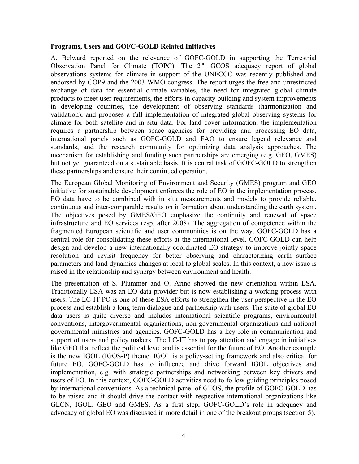#### <span id="page-7-0"></span>**Programs, Users and GOFC-GOLD Related Initiatives**

A. Belward reported on the relevance of GOFC-GOLD in supporting the Terrestrial Observation Panel for Climate (TOPC). The  $2<sup>nd</sup>$  GCOS adequacy report of global observations systems for climate in support of the UNFCCC was recently published and endorsed by COP9 and the 2003 WMO congress. The report urges the free and unrestricted exchange of data for essential climate variables, the need for integrated global climate products to meet user requirements, the efforts in capacity building and system improvements in developing countries, the development of observing standards (harmonization and validation), and proposes a full implementation of integrated global observing systems for climate for both satellite and in situ data. For land cover information, the implementation requires a partnership between space agencies for providing and processing EO data, international panels such as GOFC-GOLD and FAO to ensure legend relevance and standards, and the research community for optimizing data analysis approaches. The mechanism for establishing and funding such partnerships are emerging (e.g. GEO, GMES) but not yet guaranteed on a sustainable basis. It is central task of GOFC-GOLD to strengthen these partnerships and ensure their continued operation.

The European Global Monitoring of Environment and Security (GMES) program and GEO initiative for sustainable development enforces the role of EO in the implementation process. EO data have to be combined with in situ measurements and models to provide reliable, continuous and inter-comparable results on information about understanding the earth system. The objectives posed by GMES/GEO emphasize the continuity and renewal of space infrastructure and EO services (esp. after 2008). The aggregation of competence within the fragmented European scientific and user communities is on the way. GOFC-GOLD has a central role for consolidating these efforts at the international level. GOFC-GOLD can help design and develop a new internationally coordinated EO strategy to improve jointly space resolution and revisit frequency for better observing and characterizing earth surface parameters and land dynamics changes at local to global scales. In this context, a new issue is raised in the relationship and synergy between environment and health.

The presentation of S. Plummer and O. Arino showed the new orientation within ESA. Traditionally ESA was an EO data provider but is now establishing a working process with users. The LC-IT PO is one of these ESA efforts to strengthen the user perspective in the EO process and establish a long-term dialogue and partnership with users. The suite of global EO data users is quite diverse and includes international scientific programs, environmental conventions, intergovernmental organizations, non-governmental organizations and national governmental ministries and agencies. GOFC-GOLD has a key role in communication and support of users and policy makers. The LC-IT has to pay attention and engage in initiatives like GEO that reflect the political level and is essential for the future of EO. Another example is the new IGOL (IGOS-P) theme. IGOL is a policy-setting framework and also critical for future EO. GOFC-GOLD has to influence and drive forward IGOL objectives and implementation, e.g. with strategic partnerships and networking between key drivers and users of EO. In this context, GOFC-GOLD activities need to follow guiding principles posed by international conventions. As a technical panel of GTOS, the profile of GOFC-GOLD has to be raised and it should drive the contact with respective international organizations like GLCN, IGOL, GEO and GMES. As a first step, GOFC-GOLD's role in adequacy and advocacy of global EO was discussed in more detail in one of the breakout groups (section 5).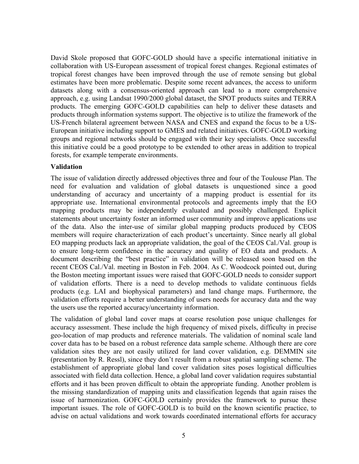<span id="page-8-0"></span>David Skole proposed that GOFC-GOLD should have a specific international initiative in collaboration with US-European assessment of tropical forest changes. Regional estimates of tropical forest changes have been improved through the use of remote sensing but global estimates have been more problematic. Despite some recent advances, the access to uniform datasets along with a consensus-oriented approach can lead to a more comprehensive approach, e.g. using Landsat 1990/2000 global dataset, the SPOT products suites and TERRA products. The emerging GOFC-GOLD capabilities can help to deliver these datasets and products through information systems support. The objective is to utilize the framework of the US-French bilateral agreement between NASA and CNES and expand the focus to be a US-European initiative including support to GMES and related initiatives. GOFC-GOLD working groups and regional networks should be engaged with their key specialists. Once successful this initiative could be a good prototype to be extended to other areas in addition to tropical forests, for example temperate environments.

#### **Validation**

The issue of validation directly addressed objectives three and four of the Toulouse Plan. The need for evaluation and validation of global datasets is unquestioned since a good understanding of accuracy and uncertainty of a mapping product is essential for its appropriate use. International environmental protocols and agreements imply that the EO mapping products may be independently evaluated and possibly challenged. Explicit statements about uncertainty foster an informed user community and improve applications use of the data. Also the inter-use of similar global mapping products produced by CEOS members will require characterization of each product's uncertainty. Since nearly all global EO mapping products lack an appropriate validation, the goal of the CEOS Cal./Val. group is to ensure long-term confidence in the accuracy and quality of EO data and products. A document describing the "best practice" in validation will be released soon based on the recent CEOS Cal./Val. meeting in Boston in Feb. 2004. As C. Woodcock pointed out, during the Boston meeting important issues were raised that GOFC-GOLD needs to consider support of validation efforts. There is a need to develop methods to validate continuous fields products (e.g. LAI and biophysical parameters) and land change maps. Furthermore, the validation efforts require a better understanding of users needs for accuracy data and the way the users use the reported accuracy/uncertainty information.

The validation of global land cover maps at coarse resolution pose unique challenges for accuracy assessment. These include the high frequency of mixed pixels, difficulty in precise geo-location of map products and reference materials. The validation of nominal scale land cover data has to be based on a robust reference data sample scheme. Although there are core validation sites they are not easily utilized for land cover validation, e.g. DEMMIN site (presentation by R. Ressl), since they don't result from a robust spatial sampling scheme. The establishment of appropriate global land cover validation sites poses logistical difficulties associated with field data collection. Hence, a global land cover validation requires substantial efforts and it has been proven difficult to obtain the appropriate funding. Another problem is the missing standardization of mapping units and classification legends that again raises the issue of harmonization. GOFC-GOLD certainly provides the framework to pursue these important issues. The role of GOFC-GOLD is to build on the known scientific practice, to advise on actual validations and work towards coordinated international efforts for accuracy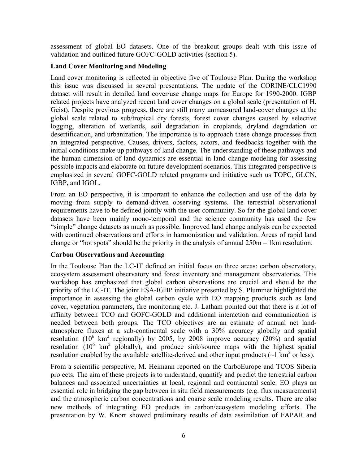<span id="page-9-0"></span>assessment of global EO datasets. One of the breakout groups dealt with this issue of validation and outlined future GOFC-GOLD activities (section 5).

#### **Land Cover Monitoring and Modeling**

Land cover monitoring is reflected in objective five of Toulouse Plan. During the workshop this issue was discussed in several presentations. The update of the CORINE/CLC1990 dataset will result in detailed land cover/use change maps for Europe for 1990-2000. IGBP related projects have analyzed recent land cover changes on a global scale (presentation of H. Geist). Despite previous progress, there are still many unmeasured land-cover changes at the global scale related to sub/tropical dry forests, forest cover changes caused by selective logging, alteration of wetlands, soil degradation in croplands, dryland degradation or desertification, and urbanization. The importance is to approach these change processes from an integrated perspective. Causes, drivers, factors, actors, and feedbacks together with the initial conditions make up pathways of land change. The understanding of these pathways and the human dimension of land dynamics are essential in land change modeling for assessing possible impacts and elaborate on future development scenarios. This integrated perspective is emphasized in several GOFC-GOLD related programs and initiative such us TOPC, GLCN, IGBP, and IGOL.

From an EO perspective, it is important to enhance the collection and use of the data by moving from supply to demand-driven observing systems. The terrestrial observational requirements have to be defined jointly with the user community. So far the global land cover datasets have been mainly mono-temporal and the science community has used the few "simple" change datasets as much as possible. Improved land change analysis can be expected with continued observations and efforts in harmonization and validation. Areas of rapid land change or "hot spots" should be the priority in the analysis of annual 250m – 1km resolution.

#### **Carbon Observations and Accounting**

In the Toulouse Plan the LC-IT defined an initial focus on three areas: carbon observatory, ecosystem assessment observatory and forest inventory and management observatories. This workshop has emphasized that global carbon observations are crucial and should be the priority of the LC-IT. The joint ESA-IGBP initiative presented by S. Plummer highlighted the importance in assessing the global carbon cycle with EO mapping products such as land cover, vegetation parameters, fire monitoring etc. J. Latham pointed out that there is a lot of affinity between TCO and GOFC-GOLD and additional interaction and communication is needed between both groups. The TCO objectives are an estimate of annual net landatmosphere fluxes at a sub-continental scale with a 30% accuracy globally and spatial resolution ( $10^6$  km<sup>2</sup> regionally) by 2005, by 2008 improve accuracy ( $20\%$ ) and spatial resolution  $(10^6 \text{ km}^2 \text{ globally})$ , and produce sink/source maps with the highest spatial resolution enabled by the available satellite-derived and other input products ( $\sim$ 1 km<sup>2</sup> or less).

From a scientific perspective, M. Heimann reported on the CarboEurope and TCOS Siberia projects. The aim of these projects is to understand, quantify and predict the terrestrial carbon balances and associated uncertainties at local, regional and continental scale. EO plays an essential role in bridging the gap between in situ field measurements (e.g. flux measurements) and the atmospheric carbon concentrations and coarse scale modeling results. There are also new methods of integrating EO products in carbon/ecosystem modeling efforts. The presentation by W. Knorr showed preliminary results of data assimilation of FAPAR and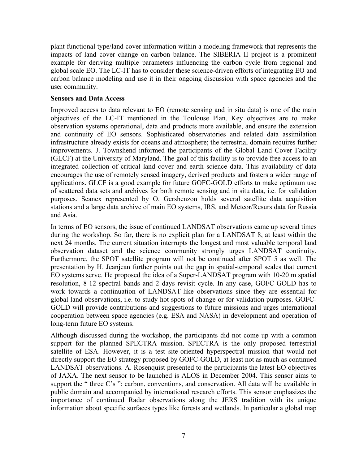<span id="page-10-0"></span>plant functional type/land cover information within a modeling framework that represents the impacts of land cover change on carbon balance. The SIBERIA II project is a prominent example for deriving multiple parameters influencing the carbon cycle from regional and global scale EO. The LC-IT has to consider these science-driven efforts of integrating EO and carbon balance modeling and use it in their ongoing discussion with space agencies and the user community.

#### **Sensors and Data Access**

Improved access to data relevant to EO (remote sensing and in situ data) is one of the main objectives of the LC-IT mentioned in the Toulouse Plan. Key objectives are to make observation systems operational, data and products more available, and ensure the extension and continuity of EO sensors. Sophisticated observatories and related data assimilation infrastructure already exists for oceans and atmosphere; the terrestrial domain requires further improvements. J. Townshend informed the participants of the Global Land Cover Facility (GLCF) at the University of Maryland. The goal of this facility is to provide free access to an integrated collection of critical land cover and earth science data. This availability of data encourages the use of remotely sensed imagery, derived products and fosters a wider range of applications. GLCF is a good example for future GOFC-GOLD efforts to make optimum use of scattered data sets and archives for both remote sensing and in situ data, i.e. for validation purposes. Scanex represented by O. Gershenzon holds several satellite data acquisition stations and a large data archive of main EO systems, IRS, and Meteor/Resurs data for Russia and Asia.

In terms of EO sensors, the issue of continued LANDSAT observations came up several times during the workshop. So far, there is no explicit plan for a LANDSAT 8, at least within the next 24 months. The current situation interrupts the longest and most valuable temporal land observation dataset and the science community strongly urges LANDSAT continuity. Furthermore, the SPOT satellite program will not be continued after SPOT 5 as well. The presentation by H. Jeanjean further points out the gap in spatial-temporal scales that current EO systems serve. He proposed the idea of a Super-LANDSAT program with 10-20 m spatial resolution, 8-12 spectral bands and 2 days revisit cycle. In any case, GOFC-GOLD has to work towards a continuation of LANDSAT-like observations since they are essential for global land observations, i.e. to study hot spots of change or for validation purposes. GOFC-GOLD will provide contributions and suggestions to future missions and urges international cooperation between space agencies (e.g. ESA and NASA) in development and operation of long-term future EO systems.

Although discussed during the workshop, the participants did not come up with a common support for the planned SPECTRA mission. SPECTRA is the only proposed terrestrial satellite of ESA. However, it is a test site-oriented hyperspectral mission that would not directly support the EO strategy proposed by GOFC-GOLD, at least not as much as continued LANDSAT observations. A. Rosenquist presented to the participants the latest EO objectives of JAXA. The next sensor to be launched is ALOS in December 2004. This sensor aims to support the " three C's ": carbon, conventions, and conservation. All data will be available in public domain and accompanied by international research efforts. This sensor emphasizes the importance of continued Radar observations along the JERS tradition with its unique information about specific surfaces types like forests and wetlands. In particular a global map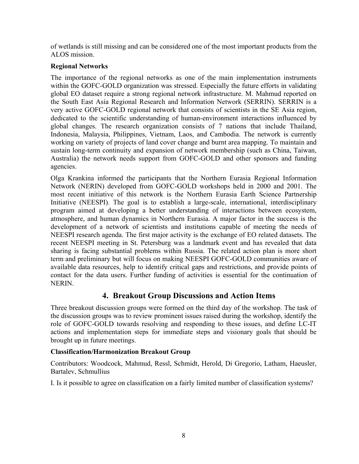<span id="page-11-0"></span>of wetlands is still missing and can be considered one of the most important products from the ALOS mission.

#### **Regional Networks**

The importance of the regional networks as one of the main implementation instruments within the GOFC-GOLD organization was stressed. Especially the future efforts in validating global EO dataset require a strong regional network infrastructure. M. Mahmud reported on the South East Asia Regional Research and Information Network (SERRIN). SERRIN is a very active GOFC-GOLD regional network that consists of scientists in the SE Asia region, dedicated to the scientific understanding of human-environment interactions influenced by global changes. The research organization consists of 7 nations that include Thailand, Indonesia, Malaysia, Philippines, Vietnam, Laos, and Cambodia. The network is currently working on variety of projects of land cover change and burnt area mapping. To maintain and sustain long-term continuity and expansion of network membership (such as China, Taiwan, Australia) the network needs support from GOFC-GOLD and other sponsors and funding agencies.

Olga Krankina informed the participants that the Northern Eurasia Regional Information Network (NERIN) developed from GOFC-GOLD workshops held in 2000 and 2001. The most recent initiative of this network is the Northern Eurasia Earth Science Partnership Initiative (NEESPI). The goal is to establish a large-scale, international, interdisciplinary program aimed at developing a better understanding of interactions between ecosystem, atmosphere, and human dynamics in Northern Eurasia. A major factor in the success is the development of a network of scientists and institutions capable of meeting the needs of NEESPI research agenda. The first major activity is the exchange of EO related datasets. The recent NEESPI meeting in St. Petersburg was a landmark event and has revealed that data sharing is facing substantial problems within Russia. The related action plan is more short term and preliminary but will focus on making NEESPI GOFC-GOLD communities aware of available data resources, help to identify critical gaps and restrictions, and provide points of contact for the data users. Further funding of activities is essential for the continuation of NERIN.

# **4. Breakout Group Discussions and Action Items**

Three breakout discussion groups were formed on the third day of the workshop. The task of the discussion groups was to review prominent issues raised during the workshop, identify the role of GOFC-GOLD towards resolving and responding to these issues, and define LC-IT actions and implementation steps for immediate steps and visionary goals that should be brought up in future meetings.

#### **Classification/Harmonization Breakout Group**

Contributors: Woodcock, Mahmud, Ressl, Schmidt, Herold, Di Gregorio, Latham, Haeusler, Bartalev, Schmullius

I. Is it possible to agree on classification on a fairly limited number of classification systems?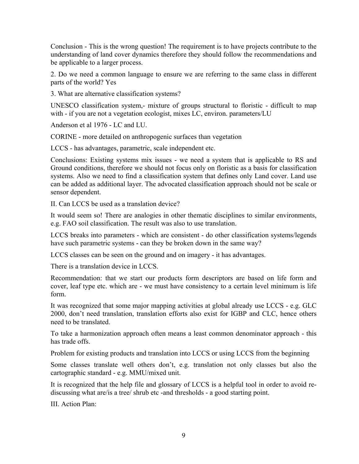Conclusion - This is the wrong question! The requirement is to have projects contribute to the understanding of land cover dynamics therefore they should follow the recommendations and be applicable to a larger process.

2. Do we need a common language to ensure we are referring to the same class in different parts of the world? Yes

3. What are alternative classification systems?

UNESCO classification system,- mixture of groups structural to floristic - difficult to map with - if you are not a vegetation ecologist, mixes LC, environ. parameters/LU

Anderson et al 1976 - LC and LU.

CORINE - more detailed on anthropogenic surfaces than vegetation

LCCS - has advantages, parametric, scale independent etc.

Conclusions: Existing systems mix issues - we need a system that is applicable to RS and Ground conditions, therefore we should not focus only on floristic as a basis for classification systems. Also we need to find a classification system that defines only Land cover. Land use can be added as additional layer. The advocated classification approach should not be scale or sensor dependent.

II. Can LCCS be used as a translation device?

It would seem so! There are analogies in other thematic disciplines to similar environments, e.g. FAO soil classification. The result was also to use translation.

LCCS breaks into parameters - which are consistent - do other classification systems/legends have such parametric systems - can they be broken down in the same way?

LCCS classes can be seen on the ground and on imagery - it has advantages.

There is a translation device in LCCS.

Recommendation: that we start our products form descriptors are based on life form and cover, leaf type etc. which are - we must have consistency to a certain level minimum is life form.

It was recognized that some major mapping activities at global already use LCCS - e.g. GLC 2000, don't need translation, translation efforts also exist for IGBP and CLC, hence others need to be translated.

To take a harmonization approach often means a least common denominator approach - this has trade offs.

Problem for existing products and translation into LCCS or using LCCS from the beginning

Some classes translate well others don't, e.g. translation not only classes but also the cartographic standard - e.g. MMU/mixed unit.

It is recognized that the help file and glossary of LCCS is a helpful tool in order to avoid rediscussing what are/is a tree/ shrub etc -and thresholds - a good starting point.

III. Action Plan: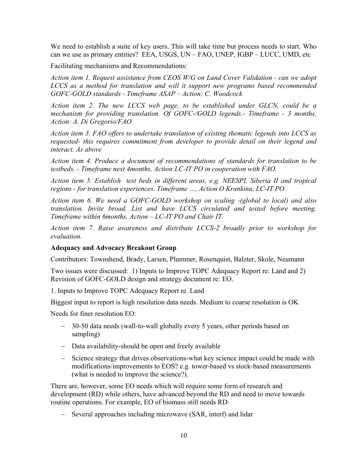<span id="page-13-0"></span>We need to establish a suite of key users. This will take time but process needs to start. Who can we use as primary entities? EEA, USGS, UN – FAO, UNEP, IGBP – LUCC, UMD, etc

Facilitating mechanisms and Recommendations:

*Action item 1. Request assistance from CEOS W/G on Land Cover Validation - can we adopt LCCS as a method for translation and will it support new programs based recommended GOFC-GOLD standards - Timeframe ASAP – Action: C. Woodcock* 

*Action item 2. The new LCCS web page, to be established under GLCN, could be a mechanism for providing translation. Of GOFC-/GOLD legends.- Timeframe - 3 months, Action: A. Di Gregorio/FAO* 

*Action item 3. FAO offers to undertake translation of existing thematic legends into LCCS as requested- this requires commitment from developer to provide detail on their legend and interact. As above* 

*Action item 4. Produce a document of recommendations of standards for translation to be testbeds. - Timeframe next 4months, Action:LC-IT PO in cooperation with FAO.* 

*Action item 5. Establish test beds in different areas, e.g. NEESPI, Siberia II and tropical regions - for translation experiences. Timeframe …, Action O Krankina, LC-IT PO.* 

*Action item 6. We need a GOFC-GOLD workshop on scaling -(global to local) and also translation. Invite broad. List and have LCCS circulated and tested before meeting. Timeframe within 6months, Action – LC-IT PO and Chair IT.* 

*Action item 7. Raise awareness and distribute LCCS-2 broadly prior to workshop for evaluation.* 

#### **Adequacy and Advocacy Breakout Group**

Contributors: Townshend, Brady, Larsen, Plummer, Rosenquist, Balzter, Skole, Neumann

Two issues were discussed: 1) Inputs to Improve TOPC Adequacy Report re: Land and 2) Revision of GOFC-GOLD design and strategy document re: EO.

1. Inputs to Improve TOPC Adequacy Report re. Land

Biggest input to report is high resolution data needs. Medium to coarse resolution is OK

Needs for finer resolution EO:

- − 30-50 data needs (wall-to-wall globally every 5 years, other periods based on sampling)
- − Data availability-should be open and freely available
- − Science strategy that drives observations-what key science impact could be made with modifications/improvements to EOS? e.g. tower-based vs stock-based measurements (what is needed to improve the science?).

There are, however, some EO needs which will require some form of research and development (RD) while others, have advanced beyond the RD and need to move towards routine operations. For example, EO of biomass still needs RD:

− Several approaches including microwave (SAR, interf) and lidar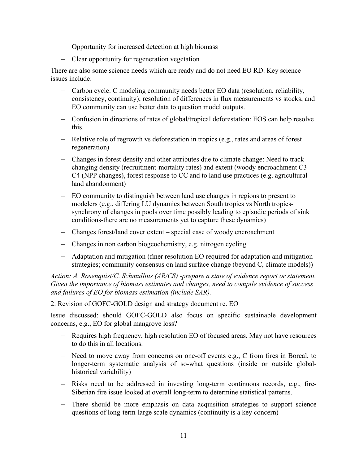- − Opportunity for increased detection at high biomass
- − Clear opportunity for regeneration vegetation

There are also some science needs which are ready and do not need EO RD. Key science issues include:

- − Carbon cycle: C modeling community needs better EO data (resolution, reliability, consistency, continuity); resolution of differences in flux measurements vs stocks; and EO community can use better data to question model outputs.
- − Confusion in directions of rates of global/tropical deforestation: EOS can help resolve this.
- − Relative role of regrowth vs deforestation in tropics (e.g., rates and areas of forest regeneration)
- − Changes in forest density and other attributes due to climate change: Need to track changing density (recruitment-mortality rates) and extent (woody encroachment C3- C4 (NPP changes), forest response to CC and to land use practices (e.g. agricultural land abandonment)
- − EO community to distinguish between land use changes in regions to present to modelers (e.g., differing LU dynamics between South tropics vs North tropicssynchrony of changes in pools over time possibly leading to episodic periods of sink conditions-there are no measurements yet to capture these dynamics)
- − Changes forest/land cover extent special case of woody encroachment
- − Changes in non carbon biogeochemistry, e.g. nitrogen cycling
- − Adaptation and mitigation (finer resolution EO required for adaptation and mitigation strategies; community consensus on land surface change (beyond C, climate models))

*Action: A. Rosenquist/C. Schmullius (AR/CS) -prepare a state of evidence report or statement. Given the importance of biomass estimates and changes, need to compile evidence of success and failures of EO for biomass estimation (include SAR).* 

2. Revision of GOFC-GOLD design and strategy document re. EO

Issue discussed: should GOFC-GOLD also focus on specific sustainable development concerns, e.g., EO for global mangrove loss?

- − Requires high frequency, high resolution EO of focused areas. May not have resources to do this in all locations.
- − Need to move away from concerns on one-off events e.g., C from fires in Boreal, to longer-term systematic analysis of so-what questions (inside or outside globalhistorical variability)
- − Risks need to be addressed in investing long-term continuous records, e.g., fire-Siberian fire issue looked at overall long-term to determine statistical patterns.
- − There should be more emphasis on data acquisition strategies to support science questions of long-term-large scale dynamics (continuity is a key concern)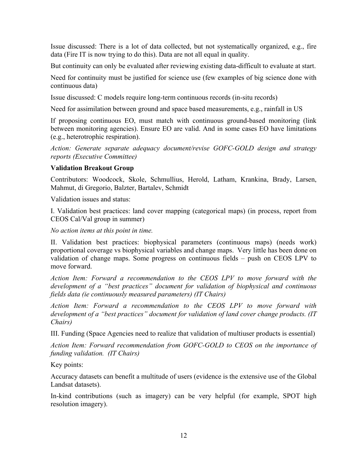<span id="page-15-0"></span>Issue discussed: There is a lot of data collected, but not systematically organized, e.g., fire data (Fire IT is now trying to do this). Data are not all equal in quality.

But continuity can only be evaluated after reviewing existing data-difficult to evaluate at start.

Need for continuity must be justified for science use (few examples of big science done with continuous data)

Issue discussed: C models require long-term continuous records (in-situ records)

Need for assimilation between ground and space based measurements, e.g., rainfall in US

If proposing continuous EO, must match with continuous ground-based monitoring (link between monitoring agencies). Ensure EO are valid. And in some cases EO have limitations (e.g., heterotrophic respiration).

*Action: Generate separate adequacy document/revise GOFC-GOLD design and strategy reports (Executive Committee)*

#### **Validation Breakout Group**

Contributors: Woodcock, Skole, Schmullius, Herold, Latham, Krankina, Brady, Larsen, Mahmut, di Gregorio, Balzter, Bartalev, Schmidt

Validation issues and status:

I. Validation best practices: land cover mapping (categorical maps) (in process, report from CEOS Cal/Val group in summer)

*No action items at this point in time.*

II. Validation best practices: biophysical parameters (continuous maps) (needs work) proportional coverage vs biophysical variables and change maps. Very little has been done on validation of change maps. Some progress on continuous fields – push on CEOS LPV to move forward.

*Action Item: Forward a recommendation to the CEOS LPV to move forward with the development of a "best practices" document for validation of biophysical and continuous fields data (ie continuously measured parameters) (IT Chairs)* 

*Action Item: Forward a recommendation to the CEOS LPV to move forward with development of a "best practices" document for validation of land cover change products. (IT Chairs)*

III. Funding (Space Agencies need to realize that validation of multiuser products is essential)

*Action Item: Forward recommendation from GOFC-GOLD to CEOS on the importance of funding validation. (IT Chairs)*

Key points:

Accuracy datasets can benefit a multitude of users (evidence is the extensive use of the Global Landsat datasets).

In-kind contributions (such as imagery) can be very helpful (for example, SPOT high resolution imagery).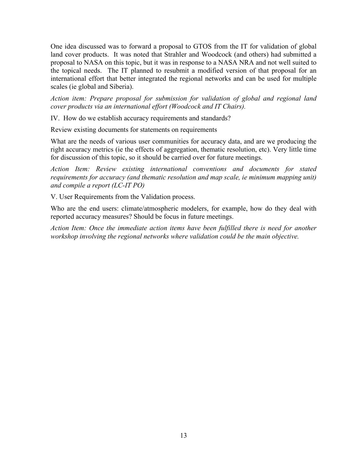One idea discussed was to forward a proposal to GTOS from the IT for validation of global land cover products. It was noted that Strahler and Woodcock (and others) had submitted a proposal to NASA on this topic, but it was in response to a NASA NRA and not well suited to the topical needs. The IT planned to resubmit a modified version of that proposal for an international effort that better integrated the regional networks and can be used for multiple scales (ie global and Siberia).

*Action item: Prepare proposal for submission for validation of global and regional land cover products via an international effort (Woodcock and IT Chairs).* 

IV. How do we establish accuracy requirements and standards?

Review existing documents for statements on requirements

What are the needs of various user communities for accuracy data, and are we producing the right accuracy metrics (ie the effects of aggregation, thematic resolution, etc). Very little time for discussion of this topic, so it should be carried over for future meetings.

*Action Item: Review existing international conventions and documents for stated requirements for accuracy (and thematic resolution and map scale, ie minimum mapping unit) and compile a report (LC-IT PO)*

V. User Requirements from the Validation process.

Who are the end users: climate/atmospheric modelers, for example, how do they deal with reported accuracy measures? Should be focus in future meetings.

*Action Item: Once the immediate action items have been fulfilled there is need for another workshop involving the regional networks where validation could be the main objective.*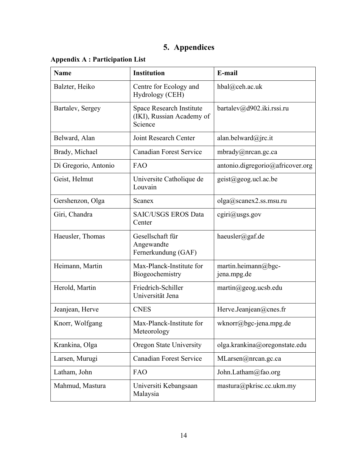# **5. Appendices**

<span id="page-17-0"></span>

|  |  |  | <b>Appendix A : Participation List</b> |  |  |
|--|--|--|----------------------------------------|--|--|
|--|--|--|----------------------------------------|--|--|

| <b>Name</b>          | <b>Institution</b>                                                      | E-mail                                 |
|----------------------|-------------------------------------------------------------------------|----------------------------------------|
| Balzter, Heiko       | Centre for Ecology and<br>Hydrology (CEH)                               | hbal@ceh.ac.uk                         |
| Bartalev, Sergey     | <b>Space Research Institute</b><br>(IKI), Russian Academy of<br>Science | bartalev@d902.iki.rssi.ru              |
| Belward, Alan        | Joint Research Center                                                   | alan.belward@jrc.it                    |
| Brady, Michael       | <b>Canadian Forest Service</b>                                          | mbrady@nrcan.gc.ca                     |
| Di Gregorio, Antonio | <b>FAO</b>                                                              | antonio.digregorio@africover.org       |
| Geist, Helmut        | Universite Catholique de<br>Louvain                                     | geist@geog.ucl.ac.be                   |
| Gershenzon, Olga     | Scanex                                                                  | olga@scanex2.ss.msu.ru                 |
| Giri, Chandra        | <b>SAIC/USGS EROS Data</b><br>Center                                    | $c\text{giri}\textcircled{a}$ usgs.gov |
| Haeusler, Thomas     | Gesellschaft für<br>Angewandte<br>Fernerkundung (GAF)                   | haeusler@gaf.de                        |
| Heimann, Martin      | Max-Planck-Institute for<br>Biogeochemistry                             | martin.heimann@bgc-<br>jena.mpg.de     |
| Herold, Martin       | Friedrich-Schiller<br>Universität Jena                                  | martin@geog.ucsb.edu                   |
| Jeanjean, Herve      | <b>CNES</b>                                                             | Herve.Jeanjean@cnes.fr                 |
| Knorr, Wolfgang      | Max-Planck-Institute for<br>Meteorology                                 | wknorr@bgc-jena.mpg.de                 |
| Krankina, Olga       | <b>Oregon State University</b>                                          | olga.krankina@oregonstate.edu          |
| Larsen, Murugi       | <b>Canadian Forest Service</b>                                          | MLarsen@nrcan.gc.ca                    |
| Latham, John         | FAO                                                                     | John.Latham@fao.org                    |
| Mahmud, Mastura      | Universiti Kebangsaan<br>Malaysia                                       | mastura@pkrisc.cc.ukm.my               |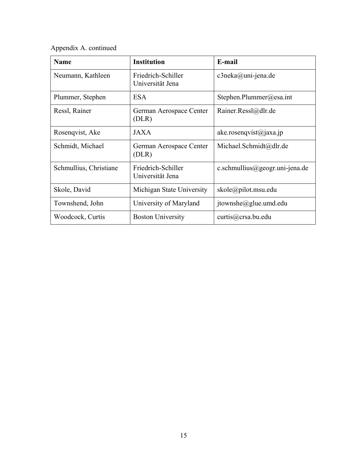Appendix A. continued

| <b>Name</b>            | <b>Institution</b>                     | E-mail                         |
|------------------------|----------------------------------------|--------------------------------|
| Neumann, Kathleen      | Friedrich-Schiller<br>Universität Jena | $c3$ neka@uni-jena.de          |
| Plummer, Stephen       | <b>ESA</b>                             | Stephen.Plummer@esa.int        |
| Ressl, Rainer          | German Aerospace Center<br>(DLR)       | Rainer.Ressl@dlr.de            |
| Rosenqvist, Ake        | <b>JAXA</b>                            | ake.rosenqvist@jaxa.jp         |
| Schmidt, Michael       | German Aerospace Center<br>(DLR)       | Michael.Schmidt@dlr.de         |
| Schmullius, Christiane | Friedrich-Schiller<br>Universität Jena | c.schmullius@geogr.uni-jena.de |
| Skole, David           | Michigan State University              | skole@pilot.msu.edu            |
| Townshend, John        | University of Maryland                 | $itownshe@glue.$ umd.edu       |
| Woodcock, Curtis       | <b>Boston University</b>               | curts@crsa.bu.edu              |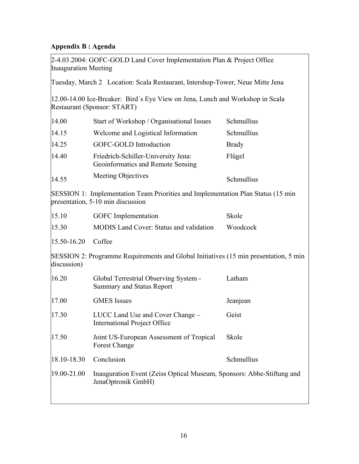# <span id="page-19-0"></span>**Appendix B : Agenda**

| <b>Inauguration Meeting</b> | 2-4.03.2004: GOFC-GOLD Land Cover Implementation Plan & Project Office                                                |              |
|-----------------------------|-----------------------------------------------------------------------------------------------------------------------|--------------|
|                             | Tuesday, March 2 Location: Scala Restaurant, Intershop-Tower, Neue Mitte Jena                                         |              |
|                             | 12.00-14.00 Ice-Breaker: Bird's Eye View on Jena, Lunch and Workshop in Scala<br>Restaurant (Sponsor: START)          |              |
| 14.00                       | Start of Workshop / Organisational Issues                                                                             | Schmullius   |
| 14.15                       | Welcome and Logistical Information                                                                                    | Schmullius   |
| 14.25                       | GOFC-GOLD Introduction                                                                                                | <b>Brady</b> |
| 14.40                       | Friedrich-Schiller-University Jena:<br>Geoinformatics and Remote Sensing                                              | Flügel       |
| 14.55                       | <b>Meeting Objectives</b>                                                                                             | Schmullius   |
|                             | SESSION 1: Implementation Team Priorities and Implementation Plan Status (15 min<br>presentation, 5-10 min discussion |              |
| 15.10                       | <b>GOFC</b> Implementation                                                                                            | Skole        |
| 15.30                       | <b>MODIS</b> Land Cover: Status and validation                                                                        | Woodcock     |
| 15.50-16.20                 | Coffee                                                                                                                |              |
| discussion)                 | SESSION 2: Programme Requirements and Global Initiatives (15 min presentation, 5 min)                                 |              |
| 16.20                       | Global Terrestrial Observing System -<br><b>Summary and Status Report</b>                                             | Latham       |
| 17.00                       | <b>GMES</b> Issues                                                                                                    | Jeanjean     |
| 17.30                       | LUCC Land Use and Cover Change -<br><b>International Project Office</b>                                               | Geist        |
| 17.50                       | Joint US-European Assessment of Tropical<br><b>Forest Change</b>                                                      | Skole        |
| 18.10-18.30                 | Conclusion                                                                                                            | Schmullius   |
| 19.00-21.00                 | Inauguration Event (Zeiss Optical Museum, Sponsors: Abbe-Stiftung and<br>JenaOptronik GmbH)                           |              |
|                             |                                                                                                                       |              |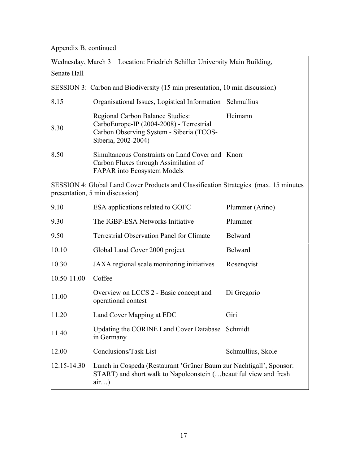Appendix B. continued

| Wednesday, March 3 Location: Friedrich Schiller University Main Building, |                                                                                                                                                     |                   |  |
|---------------------------------------------------------------------------|-----------------------------------------------------------------------------------------------------------------------------------------------------|-------------------|--|
| Senate Hall                                                               |                                                                                                                                                     |                   |  |
|                                                                           | SESSION 3: Carbon and Biodiversity (15 min presentation, 10 min discussion)                                                                         |                   |  |
| 8.15                                                                      | Organisational Issues, Logistical Information Schmullius                                                                                            |                   |  |
| 8.30                                                                      | Regional Carbon Balance Studies:<br>CarboEurope-IP (2004-2008) - Terrestrial<br>Carbon Observing System - Siberia (TCOS-<br>Siberia, 2002-2004)     | Heimann           |  |
| 8.50                                                                      | Simultaneous Constraints on Land Cover and Knorr<br>Carbon Fluxes through Assimilation of<br><b>FAPAR</b> into Ecosystem Models                     |                   |  |
|                                                                           | SESSION 4: Global Land Cover Products and Classification Strategies (max. 15 minutes<br>presentation, 5 min discussion)                             |                   |  |
| 9.10                                                                      | ESA applications related to GOFC                                                                                                                    | Plummer (Arino)   |  |
| 9.30                                                                      | The IGBP-ESA Networks Initiative                                                                                                                    | Plummer           |  |
| 9.50                                                                      | <b>Terrestrial Observation Panel for Climate</b>                                                                                                    | Belward           |  |
| 10.10                                                                     | Global Land Cover 2000 project                                                                                                                      | Belward           |  |
| 10.30                                                                     | JAXA regional scale monitoring initiatives                                                                                                          | Rosenqvist        |  |
| 10.50-11.00                                                               | Coffee                                                                                                                                              |                   |  |
| 11.00                                                                     | Overview on LCCS 2 - Basic concept and<br>operational contest                                                                                       | Di Gregorio       |  |
| 11.20                                                                     | Land Cover Mapping at EDC                                                                                                                           | Giri              |  |
| 11.40                                                                     | Updating the CORINE Land Cover Database Schmidt<br>in Germany                                                                                       |                   |  |
| 12.00                                                                     | Conclusions/Task List                                                                                                                               | Schmullius, Skole |  |
| 12.15-14.30                                                               | Lunch in Cospeda (Restaurant 'Grüner Baum zur Nachtigall', Sponsor:<br>START) and short walk to Napoleonstein ( beautiful view and fresh<br>$air$ ) |                   |  |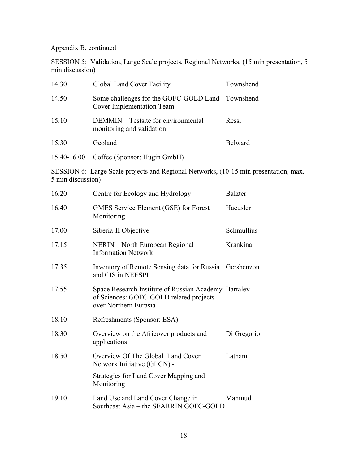Appendix B. continued

| min discussion)   | SESSION 5: Validation, Large Scale projects, Regional Networks, (15 min presentation, 5)                                 |                |
|-------------------|--------------------------------------------------------------------------------------------------------------------------|----------------|
| 14.30             | Global Land Cover Facility                                                                                               | Townshend      |
| 14.50             | Some challenges for the GOFC-GOLD Land<br><b>Cover Implementation Team</b>                                               | Townshend      |
| 15.10             | DEMMIN – Testsite for environmental<br>monitoring and validation                                                         | Ressl          |
| 15.30             | Geoland                                                                                                                  | <b>Belward</b> |
| 15.40-16.00       | Coffee (Sponsor: Hugin GmbH)                                                                                             |                |
| 5 min discussion) | SESSION 6: Large Scale projects and Regional Networks, (10-15 min presentation, max.                                     |                |
| 16.20             | Centre for Ecology and Hydrology                                                                                         | <b>Balzter</b> |
| 16.40             | GMES Service Element (GSE) for Forest<br>Monitoring                                                                      | Haeusler       |
| 17.00             | Siberia-II Objective                                                                                                     | Schmullius     |
| 17.15             | NERIN – North European Regional<br><b>Information Network</b>                                                            | Krankina       |
| 17.35             | Inventory of Remote Sensing data for Russia<br>and CIS in NEESPI                                                         | Gershenzon     |
| 17.55             | Space Research Institute of Russian Academy Bartalev<br>of Sciences: GOFC-GOLD related projects<br>over Northern Eurasia |                |
| 18.10             | Refreshments (Sponsor: ESA)                                                                                              |                |
| 18.30             | Overview on the Africover products and<br>applications                                                                   | Di Gregorio    |
| 18.50             | Overview Of The Global Land Cover<br>Network Initiative (GLCN) -                                                         | Latham         |
|                   | Strategies for Land Cover Mapping and<br>Monitoring                                                                      |                |
| 19.10             | Land Use and Land Cover Change in<br>Southeast Asia - the SEARRIN GOFC-GOLD                                              | Mahmud         |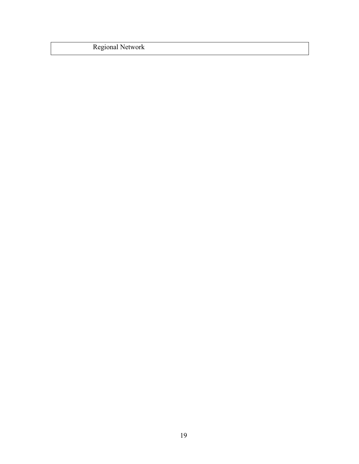Regional Network